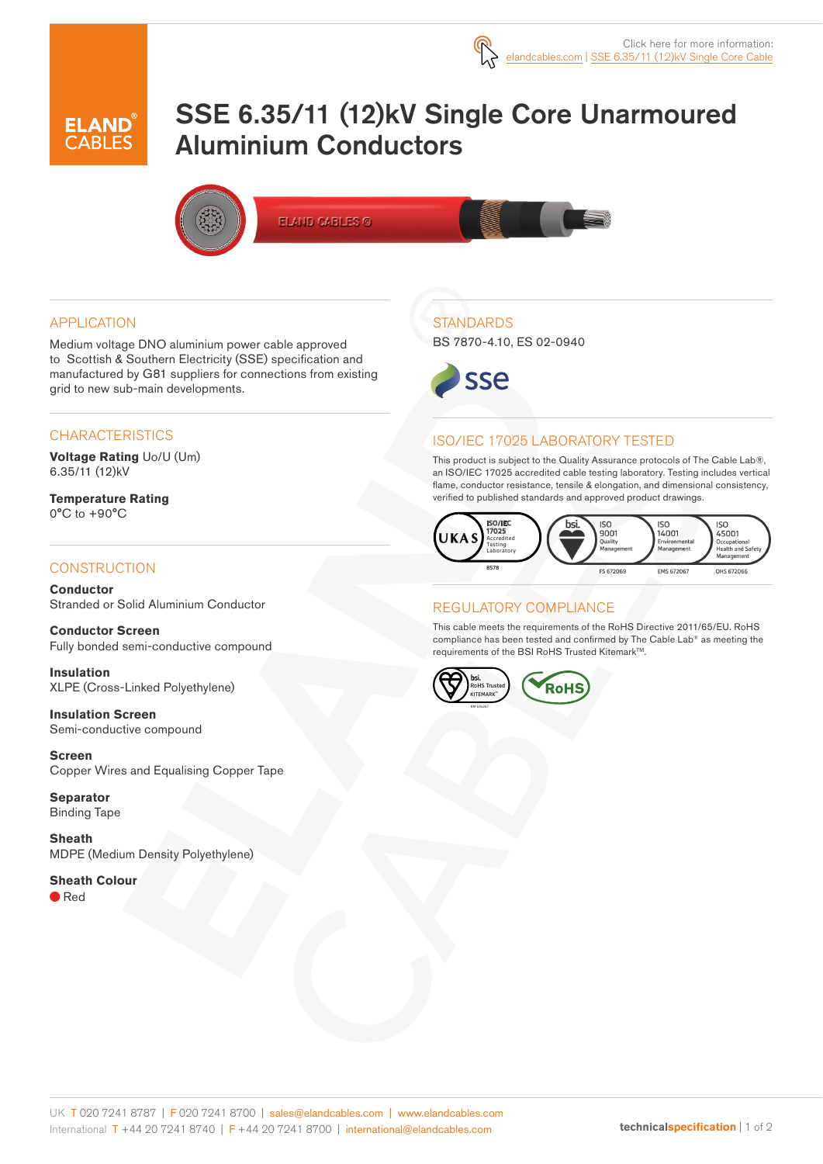

# SSE 6.35/11 (12)kV Single Core Unarmoured Aluminium Conductors



**ELAND CABLES ©** 

#### APPLICATION

Medium voltage DNO aluminium power cable approved to Scottish & Southern Electricity (SSE) specification and manufactured by G81 suppliers for connections from existing grid to new sub-main developments.

#### **CHARACTERISTICS**

**Voltage Rating** Uo/U (Um) 6.35/11 (12)kV

**Temperature Rating** 0°C to +90°C

#### **CONSTRUCTION**

**Conductor** Stranded or Solid Aluminium Conductor

**Conductor Screen** Fully bonded semi-conductive compound

**Insulation** XLPE (Cross-Linked Polyethylene)

**Insulation Screen** Semi-conductive compound

**Screen** Copper Wires and Equalising Copper Tape

**Separator** Binding Tape

**Sheath** MDPE (Medium Density Polyethylene)

#### **Sheath Colour**

● Red

### **STANDARDS**

BS 7870-4.10, ES 02-0940



#### ISO/IEC 17025 LABORATORY TESTED

This product is subject to the Quality Assurance protocols of The Cable Lab®, an ISO/IEC 17025 accredited cable testing laboratory. Testing includes vertical flame, conductor resistance, tensile & elongation, and dimensional consistency, verified to published standards and approved product drawings.



#### REGULATORY COMPLIANCE

This cable meets the requirements of the RoHS Directive 2011/65/EU. RoHS compliance has been tested and confirmed by The Cable Lab® as meeting the requirements of the BSI RoHS Trusted Kitemark™.